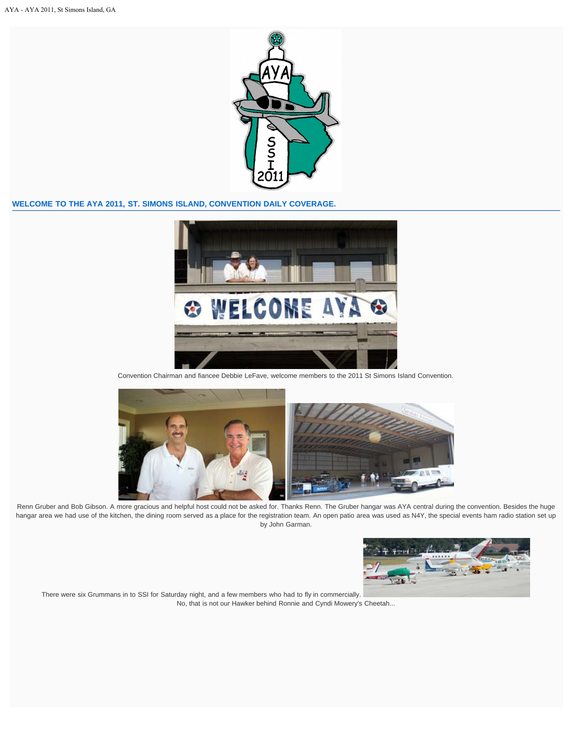

## **WELCOME TO THE AYA 2011, ST. SIMONS ISLAND, CONVENTION DAILY COVERAGE.**



Convention Chairman and fiancee Debbie LeFave, welcome members to the 2011 St Simons Island Convention.



Renn Gruber and Bob Gibson. A more gracious and helpful host could not be asked for. Thanks Renn. The Gruber hangar was AYA central during the convention. Besides the huge hangar area we had use of the kitchen, the dining room served as a place for the registration team. An open patio area was used as N4Y, the special events ham radio station set up by John Garman.



There were six Grummans in to SSI for Saturday night, and a few members who had to fly in commercially. No, that is not our Hawker behind Ronnie and Cyndi Mowery's Cheetah...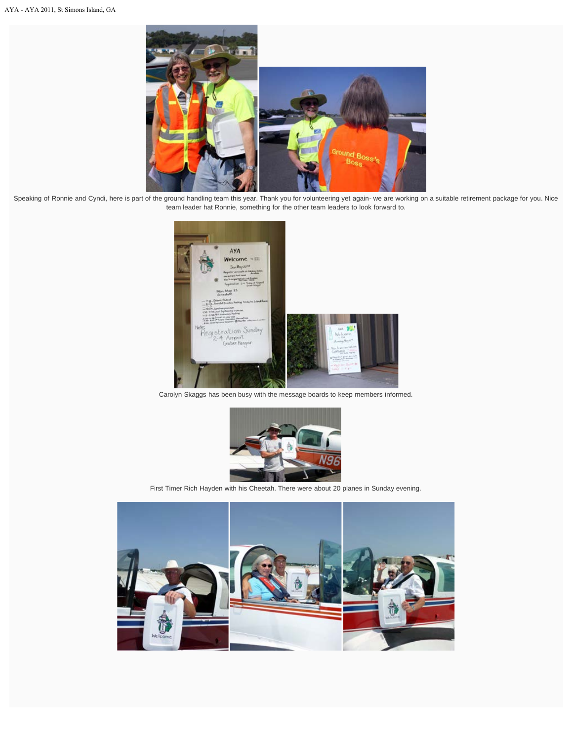

Speaking of Ronnie and Cyndi, here is part of the ground handling team this year. Thank you for volunteering yet again- we are working on a suitable retirement package for you. Nice team leader hat Ronnie, something for the other team leaders to look forward to.



Carolyn Skaggs has been busy with the message boards to keep members informed.



First Timer Rich Hayden with his Cheetah. There were about 20 planes in Sunday evening.

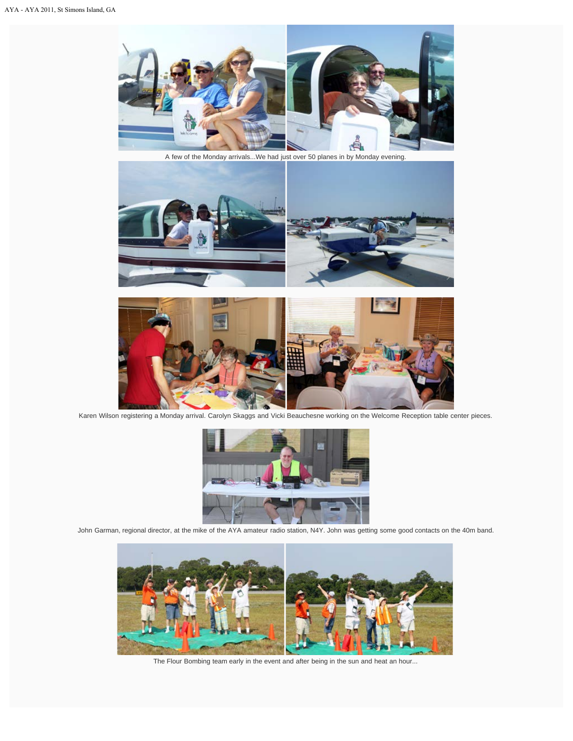

A few of the Monday arrivals...We had just over 50 planes in by Monday evening.





Karen Wilson registering a Monday arrival. Carolyn Skaggs and Vicki Beauchesne working on the Welcome Reception table center pieces.



John Garman, regional director, at the mike of the AYA amateur radio station, N4Y. John was getting some good contacts on the 40m band.



The Flour Bombing team early in the event and after being in the sun and heat an hour...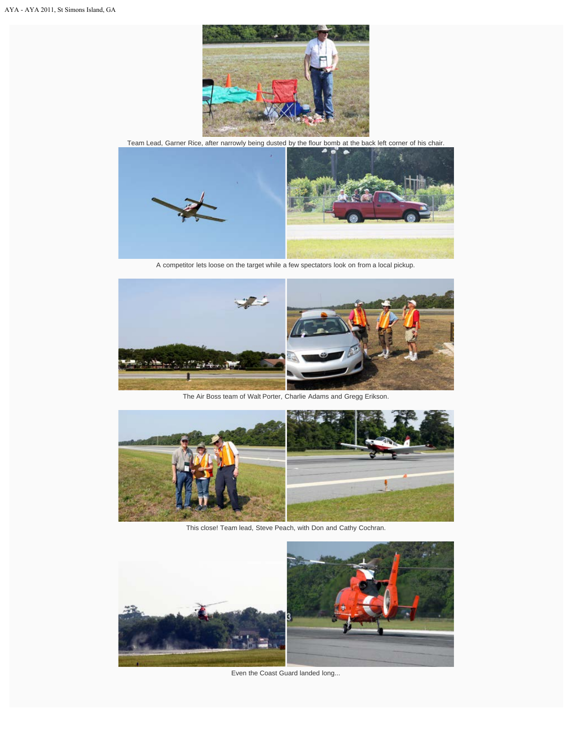

Team Lead, Garner Rice, after narrowly being dusted by the flour bomb at the back left corner of his chair.



A competitor lets loose on the target while a few spectators look on from a local pickup.



The Air Boss team of Walt Porter, Charlie Adams and Gregg Erikson.



This close! Team lead, Steve Peach, with Don and Cathy Cochran.



Even the Coast Guard landed long...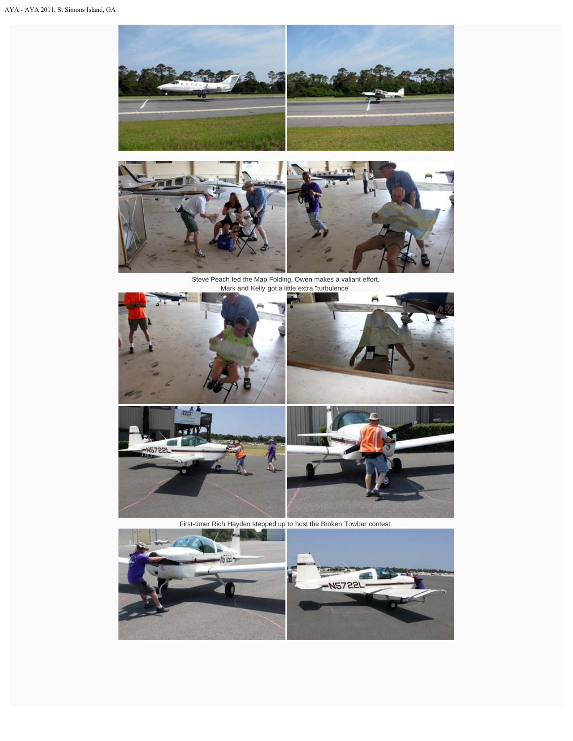



Steve Peach led the Map Folding, Owen makes a valiant effort. Mark and Kelly got a little extra "turbulence"



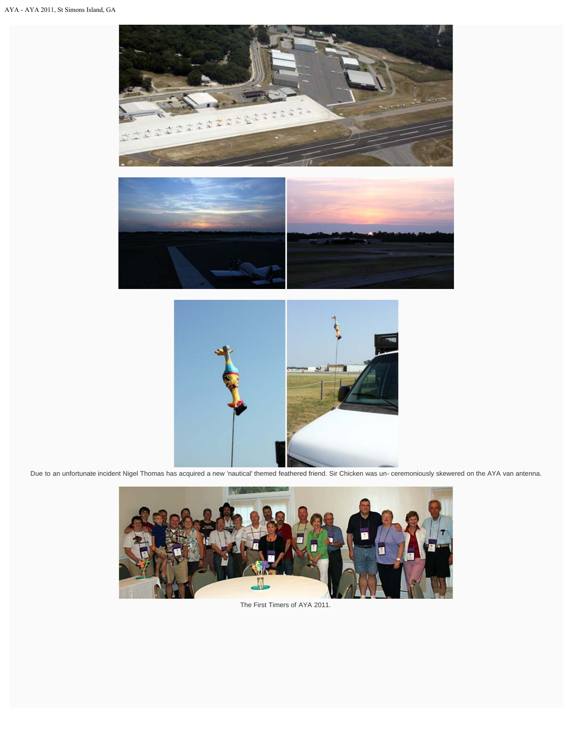





Due to an unfortunate incident Nigel Thomas has acquired a new 'nautical' themed feathered friend. Sir Chicken was un- ceremoniously skewered on the AYA van antenna.



The First Timers of AYA 2011.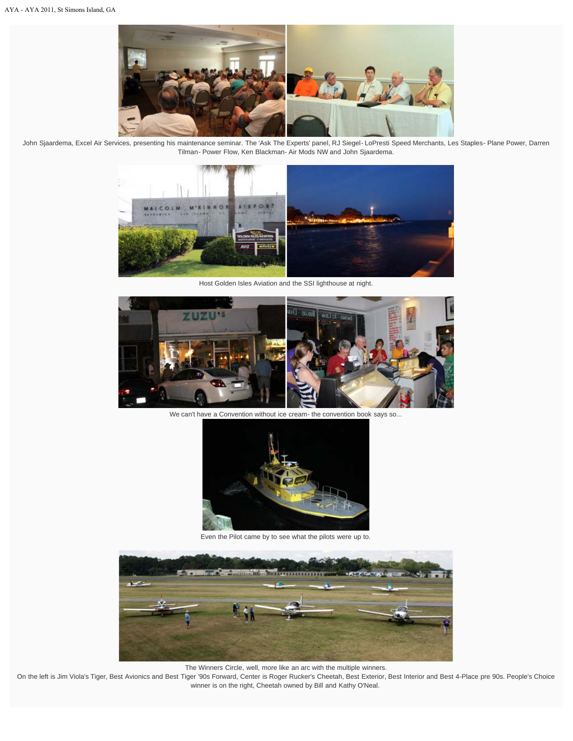

John Sjaardema, Excel Air Services, presenting his maintenance seminar. The 'Ask The Experts' panel, RJ Siegel- LoPresti Speed Merchants, Les Staples- Plane Power, Darren Tilman- Power Flow, Ken Blackman- Air Mods NW and John Sjaardema.



Host Golden Isles Aviation and the SSI lighthouse at night.



We can't have a Convention without ice cream- the convention book says so...



Even the Pilot came by to see what the pilots were up to.



The Winners Circle, well, more like an arc with the multiple winners.

On the left is Jim Viola's Tiger, Best Avionics and Best Tiger '90s Forward, Center is Roger Rucker's Cheetah, Best Exterior, Best Interior and Best 4-Place pre 90s. People's Choice winner is on the right, Cheetah owned by Bill and Kathy O'Neal.